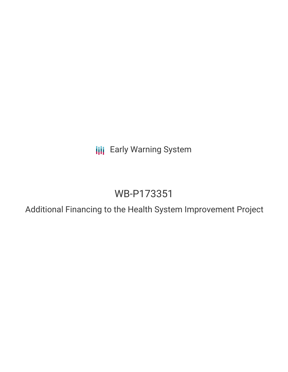**III** Early Warning System

# WB-P173351

Additional Financing to the Health System Improvement Project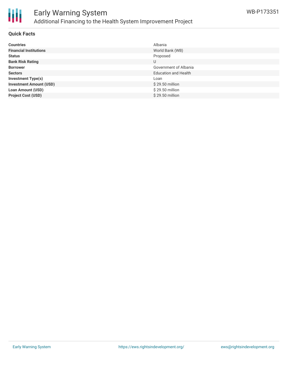

# Early Warning System Additional Financing to the Health System Improvement Project

### **Quick Facts**

| <b>Countries</b>               | Albania                     |
|--------------------------------|-----------------------------|
| <b>Financial Institutions</b>  | World Bank (WB)             |
| <b>Status</b>                  | Proposed                    |
| <b>Bank Risk Rating</b>        | U                           |
| <b>Borrower</b>                | Government of Albania       |
| <b>Sectors</b>                 | <b>Education and Health</b> |
| <b>Investment Type(s)</b>      | Loan                        |
| <b>Investment Amount (USD)</b> | $$29.50$ million            |
| <b>Loan Amount (USD)</b>       | \$29.50 million             |
| <b>Project Cost (USD)</b>      | \$29.50 million             |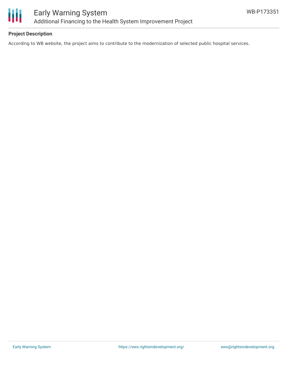

# **Project Description**

According to WB website, the project aims to contribute to the modernization of selected public hospital services.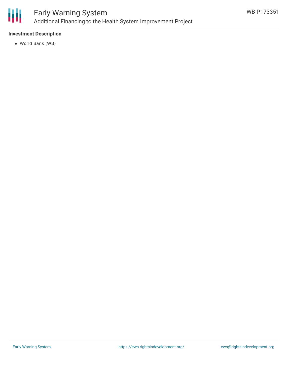

## **Investment Description**

World Bank (WB)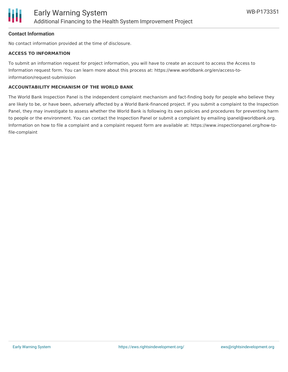

#### **Contact Information**

No contact information provided at the time of disclosure.

#### **ACCESS TO INFORMATION**

To submit an information request for project information, you will have to create an account to access the Access to Information request form. You can learn more about this process at: https://www.worldbank.org/en/access-toinformation/request-submission

#### **ACCOUNTABILITY MECHANISM OF THE WORLD BANK**

The World Bank Inspection Panel is the independent complaint mechanism and fact-finding body for people who believe they are likely to be, or have been, adversely affected by a World Bank-financed project. If you submit a complaint to the Inspection Panel, they may investigate to assess whether the World Bank is following its own policies and procedures for preventing harm to people or the environment. You can contact the Inspection Panel or submit a complaint by emailing ipanel@worldbank.org. Information on how to file a complaint and a complaint request form are available at: https://www.inspectionpanel.org/how-tofile-complaint